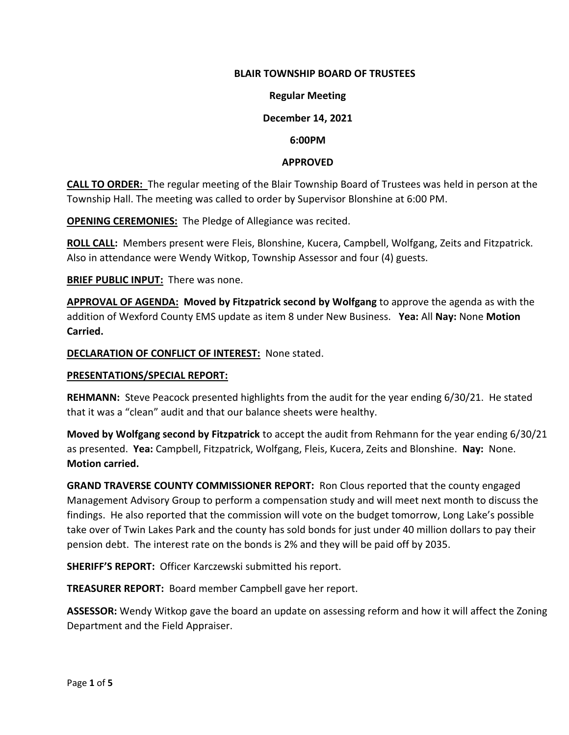## **BLAIR TOWNSHIP BOARD OF TRUSTEES**

### **Regular Meeting**

## **December 14, 2021**

#### **6:00PM**

#### **APPROVED**

**CALL TO ORDER:** The regular meeting of the Blair Township Board of Trustees was held in person at the Township Hall. The meeting was called to order by Supervisor Blonshine at 6:00 PM.

**OPENING CEREMONIES:** The Pledge of Allegiance was recited.

**ROLL CALL:** Members present were Fleis, Blonshine, Kucera, Campbell, Wolfgang, Zeits and Fitzpatrick. Also in attendance were Wendy Witkop, Township Assessor and four (4) guests.

**BRIEF PUBLIC INPUT:** There was none.

**APPROVAL OF AGENDA: Moved by Fitzpatrick second by Wolfgang** to approve the agenda as with the addition of Wexford County EMS update as item 8 under New Business. **Yea:** All **Nay:** None **Motion Carried.**

**DECLARATION OF CONFLICT OF INTEREST:** None stated.

#### **PRESENTATIONS/SPECIAL REPORT:**

**REHMANN:** Steve Peacock presented highlights from the audit for the year ending 6/30/21. He stated that it was a "clean" audit and that our balance sheets were healthy.

**Moved by Wolfgang second by Fitzpatrick** to accept the audit from Rehmann for the year ending 6/30/21 as presented. **Yea:** Campbell, Fitzpatrick, Wolfgang, Fleis, Kucera, Zeits and Blonshine. **Nay:** None. **Motion carried.**

**GRAND TRAVERSE COUNTY COMMISSIONER REPORT:** Ron Clous reported that the county engaged Management Advisory Group to perform a compensation study and will meet next month to discuss the findings. He also reported that the commission will vote on the budget tomorrow, Long Lake's possible take over of Twin Lakes Park and the county has sold bonds for just under 40 million dollars to pay their pension debt. The interest rate on the bonds is 2% and they will be paid off by 2035.

**SHERIFF'S REPORT:** Officer Karczewski submitted his report.

**TREASURER REPORT:** Board member Campbell gave her report.

**ASSESSOR:** Wendy Witkop gave the board an update on assessing reform and how it will affect the Zoning Department and the Field Appraiser.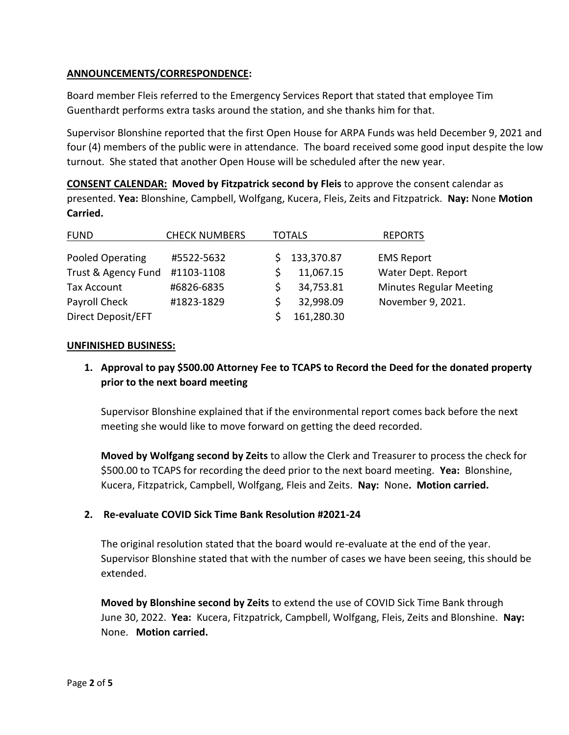# **ANNOUNCEMENTS/CORRESPONDENCE:**

Board member Fleis referred to the Emergency Services Report that stated that employee Tim Guenthardt performs extra tasks around the station, and she thanks him for that.

Supervisor Blonshine reported that the first Open House for ARPA Funds was held December 9, 2021 and four (4) members of the public were in attendance. The board received some good input despite the low turnout. She stated that another Open House will be scheduled after the new year.

**CONSENT CALENDAR: Moved by Fitzpatrick second by Fleis** to approve the consent calendar as presented. **Yea:** Blonshine, Campbell, Wolfgang, Kucera, Fleis, Zeits and Fitzpatrick. **Nay:** None **Motion Carried.**

| <b>FUND</b>         | <b>CHECK NUMBERS</b> | TOTALS |            | <b>REPORTS</b>                 |
|---------------------|----------------------|--------|------------|--------------------------------|
| Pooled Operating    | #5522-5632           |        | 133,370.87 | <b>EMS Report</b>              |
| Trust & Agency Fund | #1103-1108           |        | 11,067.15  | Water Dept. Report             |
| <b>Tax Account</b>  | #6826-6835           |        | 34,753.81  | <b>Minutes Regular Meeting</b> |
| Payroll Check       | #1823-1829           |        | 32,998.09  | November 9, 2021.              |
| Direct Deposit/EFT  |                      |        | 161,280.30 |                                |

# **UNFINISHED BUSINESS:**

**1. Approval to pay \$500.00 Attorney Fee to TCAPS to Record the Deed for the donated property prior to the next board meeting**

Supervisor Blonshine explained that if the environmental report comes back before the next meeting she would like to move forward on getting the deed recorded.

**Moved by Wolfgang second by Zeits** to allow the Clerk and Treasurer to process the check for \$500.00 to TCAPS for recording the deed prior to the next board meeting. **Yea:** Blonshine, Kucera, Fitzpatrick, Campbell, Wolfgang, Fleis and Zeits. **Nay:** None**. Motion carried.**

# **2. Re-evaluate COVID Sick Time Bank Resolution #2021-24**

The original resolution stated that the board would re-evaluate at the end of the year. Supervisor Blonshine stated that with the number of cases we have been seeing, this should be extended.

**Moved by Blonshine second by Zeits** to extend the use of COVID Sick Time Bank through June 30, 2022. **Yea:** Kucera, Fitzpatrick, Campbell, Wolfgang, Fleis, Zeits and Blonshine. **Nay:**  None. **Motion carried.**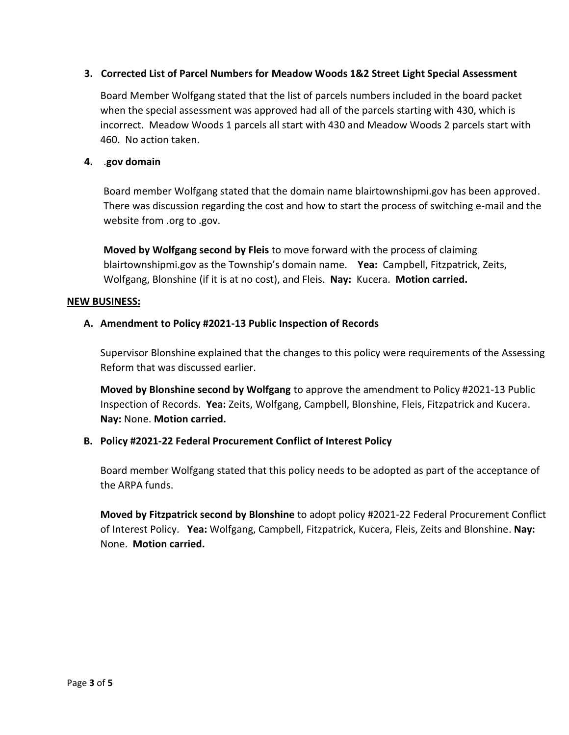# **3. Corrected List of Parcel Numbers for Meadow Woods 1&2 Street Light Special Assessment**

Board Member Wolfgang stated that the list of parcels numbers included in the board packet when the special assessment was approved had all of the parcels starting with 430, which is incorrect. Meadow Woods 1 parcels all start with 430 and Meadow Woods 2 parcels start with 460. No action taken.

## **4.** .**gov domain**

Board member Wolfgang stated that the domain name blairtownshipmi.gov has been approved. There was discussion regarding the cost and how to start the process of switching e-mail and the website from .org to .gov.

**Moved by Wolfgang second by Fleis** to move forward with the process of claiming blairtownshipmi.gov as the Township's domain name. **Yea:** Campbell, Fitzpatrick, Zeits, Wolfgang, Blonshine (if it is at no cost), and Fleis. **Nay:** Kucera. **Motion carried.**

#### **NEW BUSINESS:**

# **A. Amendment to Policy #2021-13 Public Inspection of Records**

Supervisor Blonshine explained that the changes to this policy were requirements of the Assessing Reform that was discussed earlier.

**Moved by Blonshine second by Wolfgang** to approve the amendment to Policy #2021-13 Public Inspection of Records. **Yea:** Zeits, Wolfgang, Campbell, Blonshine, Fleis, Fitzpatrick and Kucera. **Nay:** None. **Motion carried.**

# **B. Policy #2021-22 Federal Procurement Conflict of Interest Policy**

Board member Wolfgang stated that this policy needs to be adopted as part of the acceptance of the ARPA funds.

**Moved by Fitzpatrick second by Blonshine** to adopt policy #2021-22 Federal Procurement Conflict of Interest Policy. **Yea:** Wolfgang, Campbell, Fitzpatrick, Kucera, Fleis, Zeits and Blonshine. **Nay:**  None. **Motion carried.**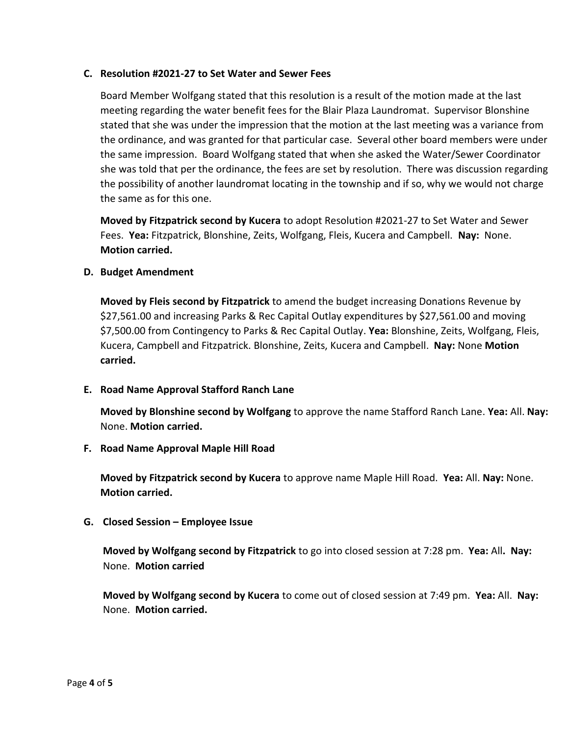## **C. Resolution #2021-27 to Set Water and Sewer Fees**

Board Member Wolfgang stated that this resolution is a result of the motion made at the last meeting regarding the water benefit fees for the Blair Plaza Laundromat. Supervisor Blonshine stated that she was under the impression that the motion at the last meeting was a variance from the ordinance, and was granted for that particular case. Several other board members were under the same impression. Board Wolfgang stated that when she asked the Water/Sewer Coordinator she was told that per the ordinance, the fees are set by resolution. There was discussion regarding the possibility of another laundromat locating in the township and if so, why we would not charge the same as for this one.

**Moved by Fitzpatrick second by Kucera** to adopt Resolution #2021-27 to Set Water and Sewer Fees. **Yea:** Fitzpatrick, Blonshine, Zeits, Wolfgang, Fleis, Kucera and Campbell. **Nay:** None. **Motion carried.**

# **D. Budget Amendment**

**Moved by Fleis second by Fitzpatrick** to amend the budget increasing Donations Revenue by \$27,561.00 and increasing Parks & Rec Capital Outlay expenditures by \$27,561.00 and moving \$7,500.00 from Contingency to Parks & Rec Capital Outlay. **Yea:** Blonshine, Zeits, Wolfgang, Fleis, Kucera, Campbell and Fitzpatrick. Blonshine, Zeits, Kucera and Campbell. **Nay:** None **Motion carried.** 

# **E. Road Name Approval Stafford Ranch Lane**

**Moved by Blonshine second by Wolfgang** to approve the name Stafford Ranch Lane. **Yea:** All. **Nay:**  None. **Motion carried.**

# **F. Road Name Approval Maple Hill Road**

**Moved by Fitzpatrick second by Kucera** to approve name Maple Hill Road. **Yea:** All. **Nay:** None. **Motion carried.**

# **G. Closed Session – Employee Issue**

**Moved by Wolfgang second by Fitzpatrick** to go into closed session at 7:28 pm. **Yea:** All**. Nay:**  None. **Motion carried**

**Moved by Wolfgang second by Kucera** to come out of closed session at 7:49 pm. **Yea:** All. **Nay:**  None. **Motion carried.**